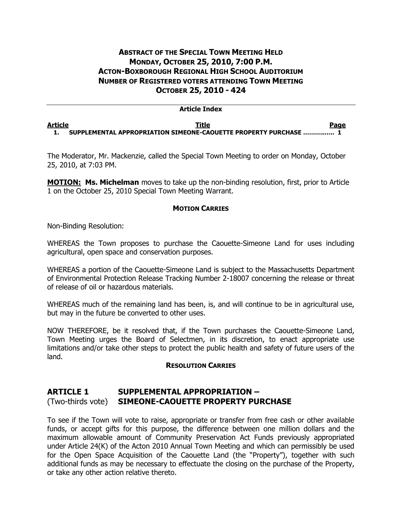# **ABSTRACT OF THE SPECIAL TOWN MEETING HELD MONDAY, OCTOBER 25, 2010, 7:00 P.M. ACTON-BOXBOROUGH REGIONAL HIGH SCHOOL AUDITORIUM NUMBER OF REGISTERED VOTERS ATTENDING TOWN MEETING OCTOBER 25, 2010 - 424**

## **Article Index**

### **Article Title Page 1. SUPPLEMENTAL APPROPRIATION SIMEONE-CAOUETTE PROPERTY PURCHASE ………..….. 1**

The Moderator, Mr. Mackenzie, called the Special Town Meeting to order on Monday, October 25, 2010, at 7:03 PM.

**MOTION: Ms. Michelman** moves to take up the non-binding resolution, first, prior to Article 1 on the October 25, 2010 Special Town Meeting Warrant.

## **MOTION CARRIES**

Non-Binding Resolution:

WHEREAS the Town proposes to purchase the Caouette-Simeone Land for uses including agricultural, open space and conservation purposes.

WHEREAS a portion of the Caouette-Simeone Land is subject to the Massachusetts Department of Environmental Protection Release Tracking Number 2-18007 concerning the release or threat of release of oil or hazardous materials.

WHEREAS much of the remaining land has been, is, and will continue to be in agricultural use, but may in the future be converted to other uses.

NOW THEREFORE, be it resolved that, if the Town purchases the Caouette-Simeone Land, Town Meeting urges the Board of Selectmen, in its discretion, to enact appropriate use limitations and/or take other steps to protect the public health and safety of future users of the land.

#### **RESOLUTION CARRIES**

## **ARTICLE 1 SUPPLEMENTAL APPROPRIATION –** (Two-thirds vote) **SIMEONE-CAOUETTE PROPERTY PURCHASE**

To see if the Town will vote to raise, appropriate or transfer from free cash or other available funds, or accept gifts for this purpose, the difference between one million dollars and the maximum allowable amount of Community Preservation Act Funds previously appropriated under Article 24(K) of the Acton 2010 Annual Town Meeting and which can permissibly be used for the Open Space Acquisition of the Caouette Land (the "Property"), together with such additional funds as may be necessary to effectuate the closing on the purchase of the Property, or take any other action relative thereto.